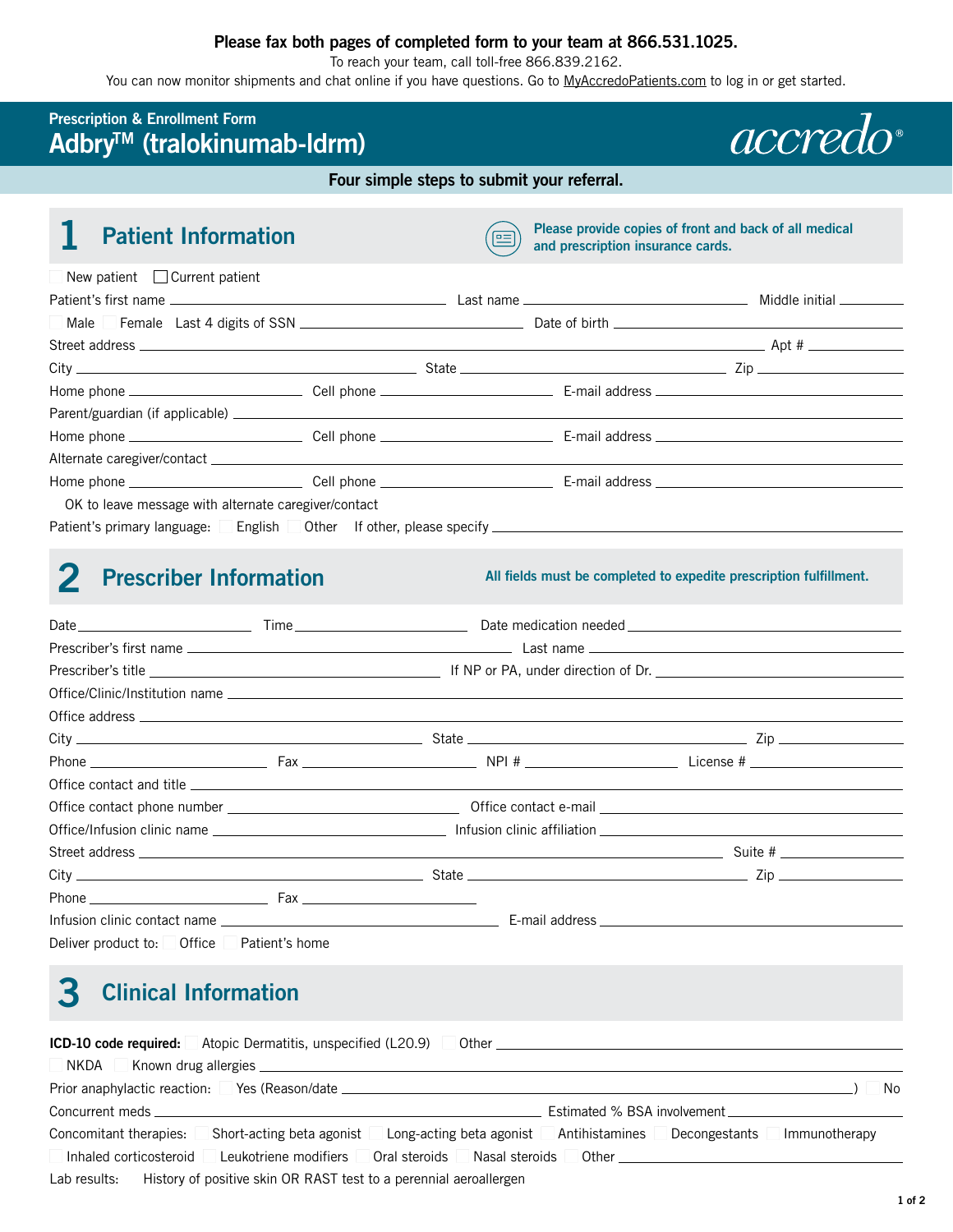#### **Please fax both pages of completed form to your team at 866.531.1025.**

To reach your team, call toll-free 866.839.2162.

You can now monitor shipments and chat online if you have questions. Go to [MyAccredoPatients.com](https://MyAccredoPatients.com) to log in or get started.

#### **Prescription & Enrollment Form AdbryTM (tralokinumab-ldrm)**

**Four simple steps to submit your referral.** 

| <b>Patient Information</b>                                                                           | $=$ | Please provide copies of front and back of all medical<br>and prescription insurance cards. |                                                                                                                                                                                                                                      |
|------------------------------------------------------------------------------------------------------|-----|---------------------------------------------------------------------------------------------|--------------------------------------------------------------------------------------------------------------------------------------------------------------------------------------------------------------------------------------|
| New patient $\Box$ Current patient                                                                   |     |                                                                                             |                                                                                                                                                                                                                                      |
|                                                                                                      |     |                                                                                             |                                                                                                                                                                                                                                      |
| Male Female Last 4 digits of SSN <u>________________________________</u>                             |     |                                                                                             | Date of birth <b>the contract of the contract of the contract of the contract of the contract of the contract of the contract of the contract of the contract of the contract of the contract of the contract of the contract of</b> |
|                                                                                                      |     |                                                                                             |                                                                                                                                                                                                                                      |
|                                                                                                      |     |                                                                                             | $\boxed{\blacksquare}$ Zip                                                                                                                                                                                                           |
|                                                                                                      |     |                                                                                             |                                                                                                                                                                                                                                      |
|                                                                                                      |     |                                                                                             |                                                                                                                                                                                                                                      |
|                                                                                                      |     |                                                                                             |                                                                                                                                                                                                                                      |
|                                                                                                      |     |                                                                                             |                                                                                                                                                                                                                                      |
|                                                                                                      |     |                                                                                             |                                                                                                                                                                                                                                      |
| OK to leave message with alternate caregiver/contact                                                 |     |                                                                                             |                                                                                                                                                                                                                                      |
| Patient's primary language: English Other If other, please specify _________________________________ |     |                                                                                             |                                                                                                                                                                                                                                      |

## **2 Prescriber Information All fields must be completed to expedite prescription fulfillment.**

*accredo* 

|                                           |  | $City$ $\qquad \qquad \qquad$ State $\qquad \qquad \qquad \qquad$ State $\qquad \qquad \qquad$ Zip        |  |  |  |
|-------------------------------------------|--|-----------------------------------------------------------------------------------------------------------|--|--|--|
|                                           |  |                                                                                                           |  |  |  |
|                                           |  |                                                                                                           |  |  |  |
|                                           |  |                                                                                                           |  |  |  |
|                                           |  |                                                                                                           |  |  |  |
|                                           |  |                                                                                                           |  |  |  |
|                                           |  | $City$ $\qquad \qquad \blacksquare$ $Zip$ $\qquad \qquad \blacksquare$ $Zip$ $\qquad \qquad \blacksquare$ |  |  |  |
|                                           |  |                                                                                                           |  |  |  |
|                                           |  |                                                                                                           |  |  |  |
| Deliver product to: Office Patient's home |  |                                                                                                           |  |  |  |

# **3 Clinical Information**

|                              | <b>ICD-10 code required:</b> Atopic Dermatitis, unspecified (L20.9)                                                                                                                                                            |                          |                | Other than the contract of the contract of the contract of the contract of the contract of the contract of the |                                          |               |
|------------------------------|--------------------------------------------------------------------------------------------------------------------------------------------------------------------------------------------------------------------------------|--------------------------|----------------|----------------------------------------------------------------------------------------------------------------|------------------------------------------|---------------|
| NKDA                         |                                                                                                                                                                                                                                |                          |                |                                                                                                                |                                          |               |
| Prior anaphylactic reaction: |                                                                                                                                                                                                                                |                          |                |                                                                                                                |                                          | No            |
|                              | Concurrent meds and the contract of the contract of the contract of the contract of the contract of the contract of the contract of the contract of the contract of the contract of the contract of the contract of the contra |                          |                | Estimated % BSA involvement                                                                                    |                                          |               |
| Concomitant therapies:       | Short-acting beta agonist                                                                                                                                                                                                      | Long-acting beta agonist |                | Antihistamines                                                                                                 | Decongestants                            | Immunotherapy |
| Inhaled corticosteroid       | Leukotriene modifiers                                                                                                                                                                                                          | Oral steroids            | Nasal steroids |                                                                                                                | Other <u>___________________________</u> |               |
| Lab results:                 | History of positive skin OR RAST test to a perennial aeroallergen                                                                                                                                                              |                          |                |                                                                                                                |                                          |               |

**1 of 2**